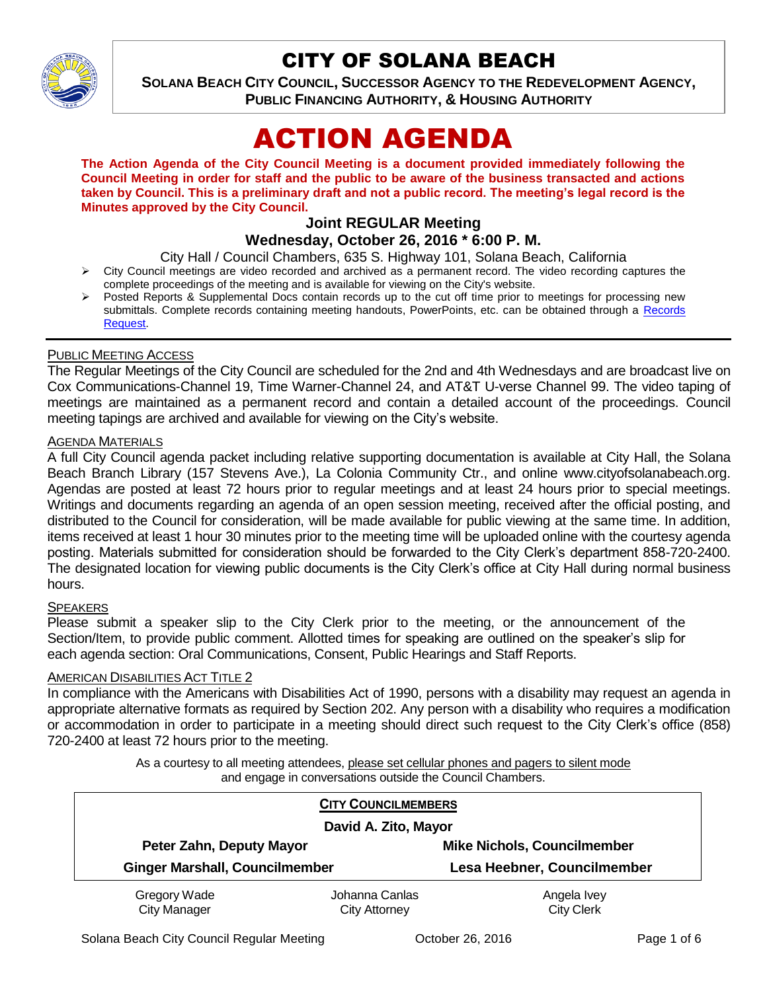

# CITY OF SOLANA BEACH

**SOLANA BEACH CITY COUNCIL, SUCCESSOR AGENCY TO THE REDEVELOPMENT AGENCY, PUBLIC FINANCING AUTHORITY, & HOUSING AUTHORITY** 

# ACTION AGENDA

**The Action Agenda of the City Council Meeting is a document provided immediately following the Council Meeting in order for staff and the public to be aware of the business transacted and actions taken by Council. This is a preliminary draft and not a public record. The meeting's legal record is the Minutes approved by the City Council.**

# **Joint REGULAR Meeting**

# **Wednesday, October 26, 2016 \* 6:00 P. M.**

City Hall / Council Chambers, 635 S. Highway 101, Solana Beach, California

- $\triangleright$  City Council meetings are video recorded and archived as a permanent record. The video recording captures the complete proceedings of the meeting and is available for viewing on the City's website.
- Posted Reports & Supplemental Docs contain records up to the cut off time prior to meetings for processing new submittals. Complete records containing meeting handouts, PowerPoints, etc. can be obtained through a Records [Request.](http://www.ci.solana-beach.ca.us/index.asp?SEC=F5D45D10-70CE-4291-A27C-7BD633FC6742&Type=B_BASIC)

#### PUBLIC MEETING ACCESS

The Regular Meetings of the City Council are scheduled for the 2nd and 4th Wednesdays and are broadcast live on Cox Communications-Channel 19, Time Warner-Channel 24, and AT&T U-verse Channel 99. The video taping of meetings are maintained as a permanent record and contain a detailed account of the proceedings. Council meeting tapings are archived and available for viewing on the City's website.

# **AGENDA MATERIALS**

A full City Council agenda packet including relative supporting documentation is available at City Hall, the Solana Beach Branch Library (157 Stevens Ave.), La Colonia Community Ctr., and online www.cityofsolanabeach.org. Agendas are posted at least 72 hours prior to regular meetings and at least 24 hours prior to special meetings. Writings and documents regarding an agenda of an open session meeting, received after the official posting, and distributed to the Council for consideration, will be made available for public viewing at the same time. In addition, items received at least 1 hour 30 minutes prior to the meeting time will be uploaded online with the courtesy agenda posting. Materials submitted for consideration should be forwarded to the City Clerk's department 858-720-2400. The designated location for viewing public documents is the City Clerk's office at City Hall during normal business hours.

#### **SPEAKERS**

Please submit a speaker slip to the City Clerk prior to the meeting, or the announcement of the Section/Item, to provide public comment. Allotted times for speaking are outlined on the speaker's slip for each agenda section: Oral Communications, Consent, Public Hearings and Staff Reports.

#### AMERICAN DISABILITIES ACT TITLE 2

In compliance with the Americans with Disabilities Act of 1990, persons with a disability may request an agenda in appropriate alternative formats as required by Section 202. Any person with a disability who requires a modification or accommodation in order to participate in a meeting should direct such request to the City Clerk's office (858) 720-2400 at least 72 hours prior to the meeting.

> As a courtesy to all meeting attendees, please set cellular phones and pagers to silent mode and engage in conversations outside the Council Chambers.

| <b>CITY COUNCILMEMBERS</b><br>David A. Zito, Mayor |                                        |                                    |
|----------------------------------------------------|----------------------------------------|------------------------------------|
| Peter Zahn, Deputy Mayor                           |                                        | <b>Mike Nichols, Councilmember</b> |
| <b>Ginger Marshall, Councilmember</b>              |                                        | Lesa Heebner, Councilmember        |
| Gregory Wade<br><b>City Manager</b>                | Johanna Canlas<br><b>City Attorney</b> | Angela Ivey<br><b>City Clerk</b>   |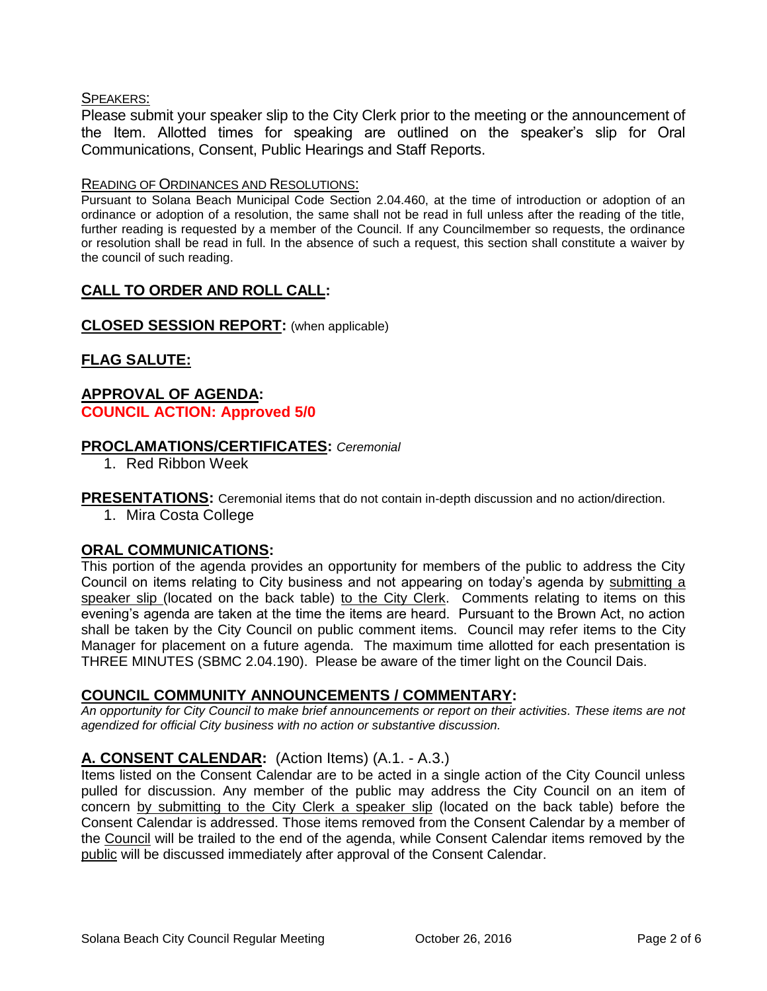#### SPEAKERS:

Please submit your speaker slip to the City Clerk prior to the meeting or the announcement of the Item. Allotted times for speaking are outlined on the speaker's slip for Oral Communications, Consent, Public Hearings and Staff Reports.

#### READING OF ORDINANCES AND RESOLUTIONS:

Pursuant to Solana Beach Municipal Code Section 2.04.460, at the time of introduction or adoption of an ordinance or adoption of a resolution, the same shall not be read in full unless after the reading of the title, further reading is requested by a member of the Council. If any Councilmember so requests, the ordinance or resolution shall be read in full. In the absence of such a request, this section shall constitute a waiver by the council of such reading.

# **CALL TO ORDER AND ROLL CALL:**

# **CLOSED SESSION REPORT:** (when applicable)

# **FLAG SALUTE:**

### **APPROVAL OF AGENDA: COUNCIL ACTION: Approved 5/0**

# **PROCLAMATIONS/CERTIFICATES:** *Ceremonial*

1. Red Ribbon Week

**PRESENTATIONS:** Ceremonial items that do not contain in-depth discussion and no action/direction.

1. Mira Costa College

# **ORAL COMMUNICATIONS:**

This portion of the agenda provides an opportunity for members of the public to address the City Council on items relating to City business and not appearing on today's agenda by submitting a speaker slip (located on the back table) to the City Clerk. Comments relating to items on this evening's agenda are taken at the time the items are heard. Pursuant to the Brown Act, no action shall be taken by the City Council on public comment items. Council may refer items to the City Manager for placement on a future agenda. The maximum time allotted for each presentation is THREE MINUTES (SBMC 2.04.190). Please be aware of the timer light on the Council Dais.

# **COUNCIL COMMUNITY ANNOUNCEMENTS / COMMENTARY:**

*An opportunity for City Council to make brief announcements or report on their activities. These items are not agendized for official City business with no action or substantive discussion.* 

# **A. CONSENT CALENDAR:** (Action Items) (A.1. - A.3.)

Items listed on the Consent Calendar are to be acted in a single action of the City Council unless pulled for discussion. Any member of the public may address the City Council on an item of concern by submitting to the City Clerk a speaker slip (located on the back table) before the Consent Calendar is addressed. Those items removed from the Consent Calendar by a member of the Council will be trailed to the end of the agenda, while Consent Calendar items removed by the public will be discussed immediately after approval of the Consent Calendar.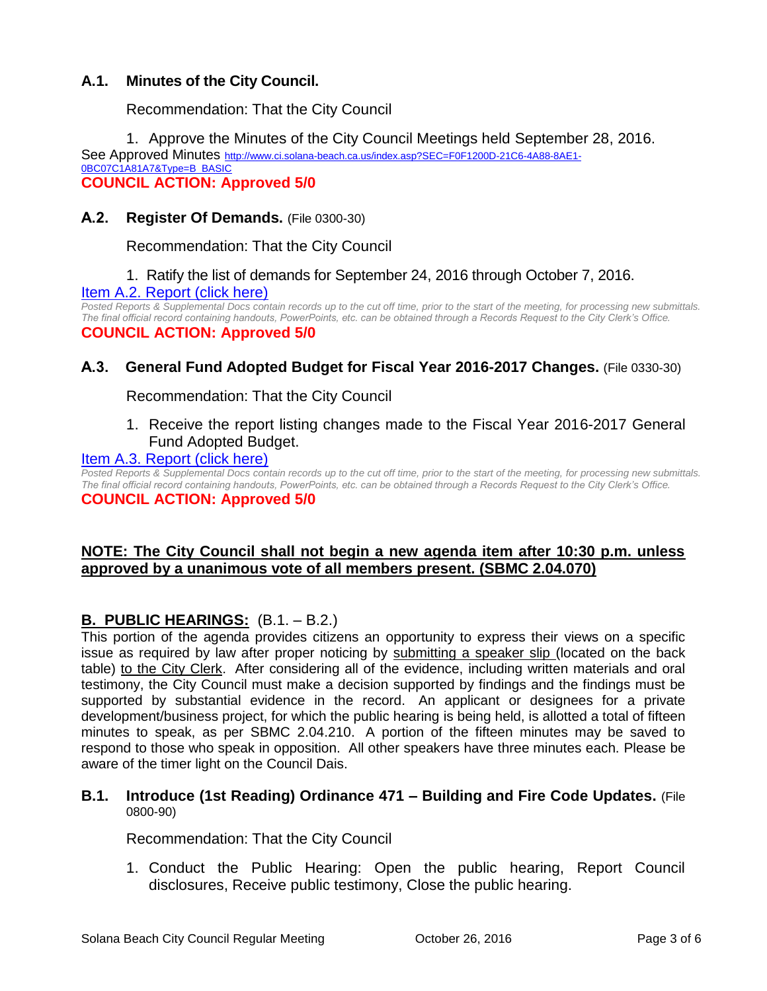# **A.1. Minutes of the City Council.**

Recommendation: That the City Council

1. Approve the Minutes of the City Council Meetings held September 28, 2016. See Approved Minutes [http://www.ci.solana-beach.ca.us/index.asp?SEC=F0F1200D-21C6-4A88-8AE1-](http://www.ci.solana-beach.ca.us/index.asp?SEC=F0F1200D-21C6-4A88-8AE1-0BC07C1A81A7&Type=B_BASIC) [0BC07C1A81A7&Type=B\\_BASIC](http://www.ci.solana-beach.ca.us/index.asp?SEC=F0F1200D-21C6-4A88-8AE1-0BC07C1A81A7&Type=B_BASIC) **COUNCIL ACTION: Approved 5/0**

# **A.2. Register Of Demands.** (File 0300-30)

Recommendation: That the City Council

1. Ratify the list of demands for September 24, 2016 through October 7, 2016. [Item A.2. Report \(click here\)](https://solanabeach.govoffice3.com/vertical/Sites/%7B840804C2-F869-4904-9AE3-720581350CE7%7D/uploads/Item_A.2._Report_(click_here)_-10-26-16.PDF)

*Posted Reports & Supplemental Docs contain records up to the cut off time, prior to the start of the meeting, for processing new submittals. The final official record containing handouts, PowerPoints, etc. can be obtained through a Records Request to the City Clerk's Office.* **COUNCIL ACTION: Approved 5/0**

# **A.3. General Fund Adopted Budget for Fiscal Year 2016-2017 Changes.** (File 0330-30)

Recommendation: That the City Council

1. Receive the report listing changes made to the Fiscal Year 2016-2017 General Fund Adopted Budget.

#### [Item A.3. Report \(click here\)](https://solanabeach.govoffice3.com/vertical/Sites/%7B840804C2-F869-4904-9AE3-720581350CE7%7D/uploads/Item_A.3._Report_(click_here)_-10-26-16.PDF)

*Posted Reports & Supplemental Docs contain records up to the cut off time, prior to the start of the meeting, for processing new submittals. The final official record containing handouts, PowerPoints, etc. can be obtained through a Records Request to the City Clerk's Office.* **COUNCIL ACTION: Approved 5/0**

#### **NOTE: The City Council shall not begin a new agenda item after 10:30 p.m. unless approved by a unanimous vote of all members present. (SBMC 2.04.070)**

# **B. PUBLIC HEARINGS:** (B.1. – B.2.)

This portion of the agenda provides citizens an opportunity to express their views on a specific issue as required by law after proper noticing by submitting a speaker slip (located on the back table) to the City Clerk. After considering all of the evidence, including written materials and oral testimony, the City Council must make a decision supported by findings and the findings must be supported by substantial evidence in the record. An applicant or designees for a private development/business project, for which the public hearing is being held, is allotted a total of fifteen minutes to speak, as per SBMC 2.04.210. A portion of the fifteen minutes may be saved to respond to those who speak in opposition. All other speakers have three minutes each. Please be aware of the timer light on the Council Dais.

#### **B.1. Introduce (1st Reading) Ordinance 471 – Building and Fire Code Updates.** (File 0800-90)

Recommendation: That the City Council

1. Conduct the Public Hearing: Open the public hearing, Report Council disclosures, Receive public testimony, Close the public hearing.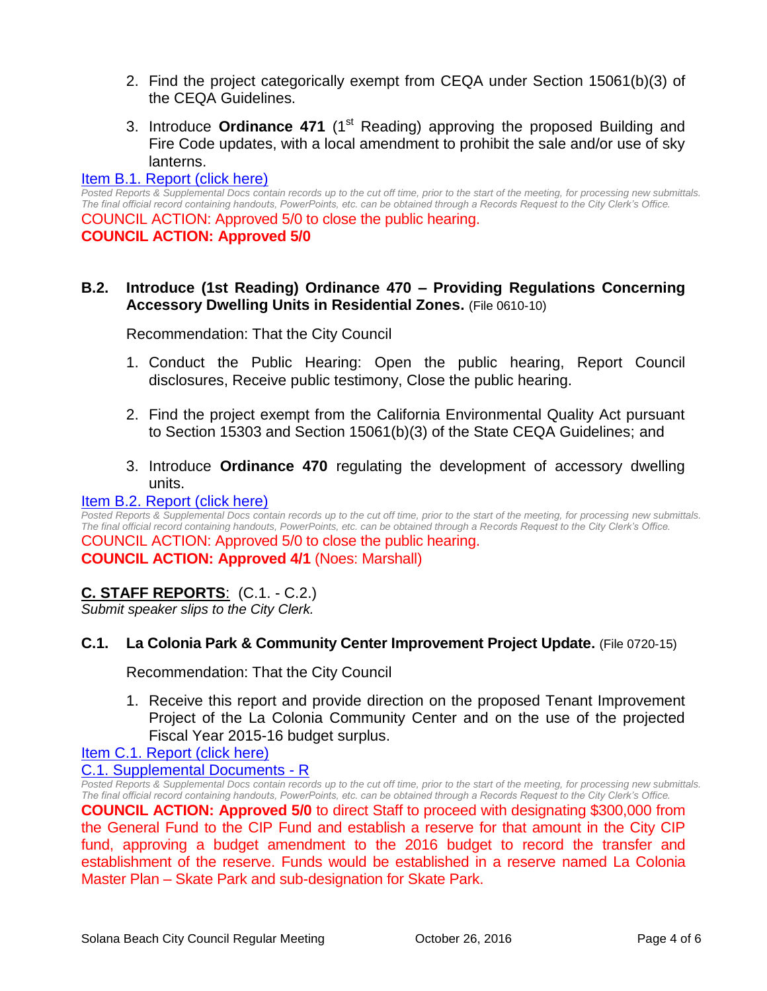- 2. Find the project categorically exempt from CEQA under Section 15061(b)(3) of the CEQA Guidelines.
- 3. Introduce **Ordinance 471** (1<sup>st</sup> Reading) approving the proposed Building and Fire Code updates, with a local amendment to prohibit the sale and/or use of sky lanterns.

#### [Item B.1. Report \(click here\)](https://solanabeach.govoffice3.com/vertical/Sites/%7B840804C2-F869-4904-9AE3-720581350CE7%7D/uploads/Item_B.1._Report_(click_here)_-10-26-16.PDF)

*Posted Reports & Supplemental Docs contain records up to the cut off time, prior to the start of the meeting, for processing new submittals. The final official record containing handouts, PowerPoints, etc. can be obtained through a Records Request to the City Clerk's Office.* COUNCIL ACTION: Approved 5/0 to close the public hearing. **COUNCIL ACTION: Approved 5/0**

# **B.2. Introduce (1st Reading) Ordinance 470 – Providing Regulations Concerning Accessory Dwelling Units in Residential Zones.** (File 0610-10)

Recommendation: That the City Council

- 1. Conduct the Public Hearing: Open the public hearing, Report Council disclosures, Receive public testimony, Close the public hearing.
- 2. Find the project exempt from the California Environmental Quality Act pursuant to Section 15303 and Section 15061(b)(3) of the State CEQA Guidelines; and
- 3. Introduce **Ordinance 470** regulating the development of accessory dwelling units.

#### [Item B.2. Report \(click here\)](https://solanabeach.govoffice3.com/vertical/Sites/%7B840804C2-F869-4904-9AE3-720581350CE7%7D/uploads/Item_B.2._Report_(click_here)_-10-26-16.PDF)

*Posted Reports & Supplemental Docs contain records up to the cut off time, prior to the start of the meeting, for processing new submittals. The final official record containing handouts, PowerPoints, etc. can be obtained through a Records Request to the City Clerk's Office.* COUNCIL ACTION: Approved 5/0 to close the public hearing. **COUNCIL ACTION: Approved 4/1** (Noes: Marshall)

# **C. STAFF REPORTS**: (C.1. - C.2.)

*Submit speaker slips to the City Clerk.*

#### **C.1. La Colonia Park & Community Center Improvement Project Update.** (File 0720-15)

Recommendation: That the City Council

1. Receive this report and provide direction on the proposed Tenant Improvement Project of the La Colonia Community Center and on the use of the projected Fiscal Year 2015-16 budget surplus.

# [Item C.1. Report \(click here\)](https://solanabeach.govoffice3.com/vertical/Sites/%7B840804C2-F869-4904-9AE3-720581350CE7%7D/uploads/Item_C.1._Report_(click_here)_-10-26-16.PDF)

#### [C.1. Supplemental Documents -](https://solanabeach.govoffice3.com/vertical/Sites/%7B840804C2-F869-4904-9AE3-720581350CE7%7D/uploads/C.1._Supplemental_Documents_-_R_10-26-16_.pdf) R

*Posted Reports & Supplemental Docs contain records up to the cut off time, prior to the start of the meeting, for processing new submittals. The final official record containing handouts, PowerPoints, etc. can be obtained through a Records Request to the City Clerk's Office.* **COUNCIL ACTION: Approved 5/0** to direct Staff to proceed with designating \$300,000 from the General Fund to the CIP Fund and establish a reserve for that amount in the City CIP fund, approving a budget amendment to the 2016 budget to record the transfer and establishment of the reserve. Funds would be established in a reserve named La Colonia Master Plan – Skate Park and sub-designation for Skate Park.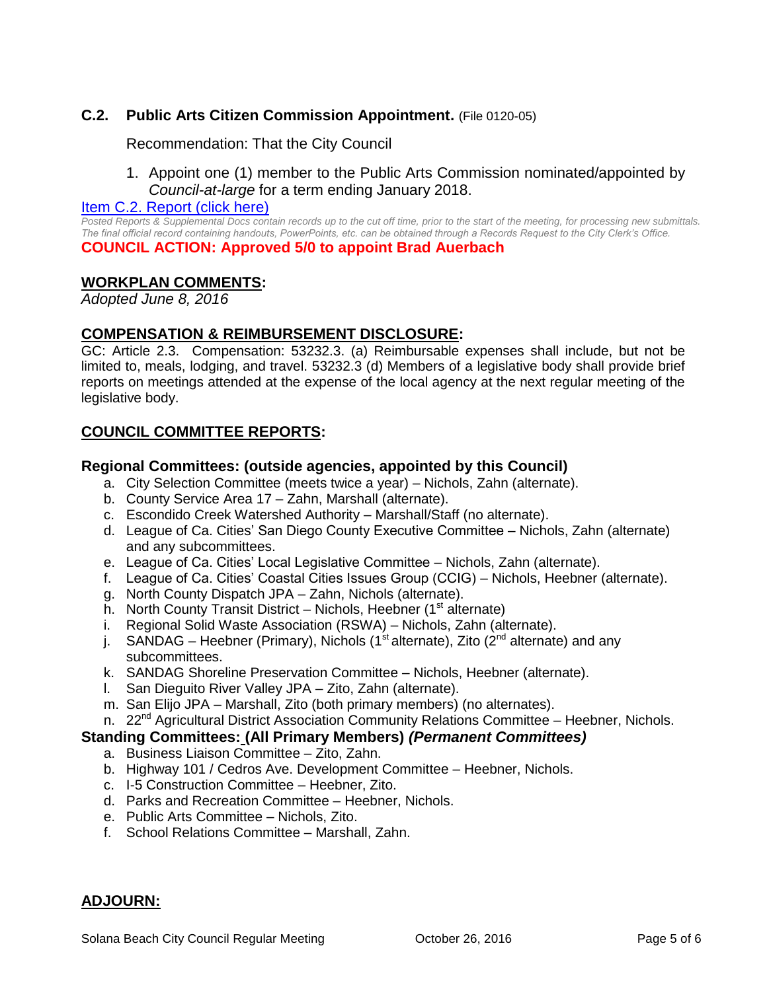# **C.2. Public Arts Citizen Commission Appointment.** (File 0120-05)

Recommendation: That the City Council

1. Appoint one (1) member to the Public Arts Commission nominated/appointed by *Council-at-large* for a term ending January 2018.

#### [Item C.2. Report \(click here\)](https://solanabeach.govoffice3.com/vertical/Sites/%7B840804C2-F869-4904-9AE3-720581350CE7%7D/uploads/Item_C.2._Report_(click_here)_-10-26-16.PDF)

*Posted Reports & Supplemental Docs contain records up to the cut off time, prior to the start of the meeting, for processing new submittals. The final official record containing handouts, PowerPoints, etc. can be obtained through a Records Request to the City Clerk's Office.* **COUNCIL ACTION: Approved 5/0 to appoint Brad Auerbach**

#### **WORKPLAN COMMENTS:**

*Adopted June 8, 2016*

#### **COMPENSATION & REIMBURSEMENT DISCLOSURE:**

GC: Article 2.3. Compensation: 53232.3. (a) Reimbursable expenses shall include, but not be limited to, meals, lodging, and travel. 53232.3 (d) Members of a legislative body shall provide brief reports on meetings attended at the expense of the local agency at the next regular meeting of the legislative body.

# **COUNCIL COMMITTEE REPORTS:**

#### **Regional Committees: (outside agencies, appointed by this Council)**

- a. City Selection Committee (meets twice a year) Nichols, Zahn (alternate).
- b. County Service Area 17 Zahn, Marshall (alternate).
- c. Escondido Creek Watershed Authority Marshall/Staff (no alternate).
- d. League of Ca. Cities' San Diego County Executive Committee Nichols, Zahn (alternate) and any subcommittees.
- e. League of Ca. Cities' Local Legislative Committee Nichols, Zahn (alternate).
- f. League of Ca. Cities' Coastal Cities Issues Group (CCIG) Nichols, Heebner (alternate).
- g. North County Dispatch JPA Zahn, Nichols (alternate).
- h. North County Transit District Nichols, Heebner  $(1<sup>st</sup>$  alternate)
- i. Regional Solid Waste Association (RSWA) Nichols, Zahn (alternate).
- j. SANDAG Heebner (Primary), Nichols (1<sup>st</sup> alternate), Zito ( $2^{nd}$  alternate) and any subcommittees.
- k. SANDAG Shoreline Preservation Committee Nichols, Heebner (alternate).
- l. San Dieguito River Valley JPA Zito, Zahn (alternate).
- m. San Elijo JPA Marshall, Zito (both primary members) (no alternates).
- n. 22<sup>nd</sup> Agricultural District Association Community Relations Committee Heebner, Nichols.

#### **Standing Committees: (All Primary Members)** *(Permanent Committees)*

- a. Business Liaison Committee Zito, Zahn.
- b. Highway 101 / Cedros Ave. Development Committee Heebner, Nichols.
- c. I-5 Construction Committee Heebner, Zito.
- d. Parks and Recreation Committee Heebner, Nichols.
- e. Public Arts Committee Nichols, Zito.
- f. School Relations Committee Marshall, Zahn.

#### **ADJOURN:**